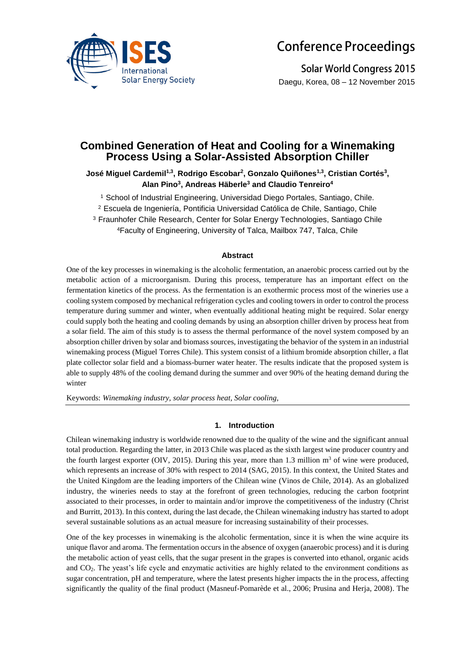

# **Conference Proceedings**

**Solar World Congress 2015** Daegu, Korea, 08 – 12 November 2015

# **Combined Generation of Heat and Cooling for a Winemaking Process Using a Solar-Assisted Absorption Chiller**

**José Miguel Cardemil1,3 , Rodrigo Escobar<sup>2</sup> , Gonzalo Quiñones1,3, Cristian Cortés<sup>3</sup> , Alan Pino<sup>3</sup> , Andreas Häberle<sup>3</sup> and Claudio Tenreiro<sup>4</sup>**

<sup>1</sup> School of Industrial Engineering, Universidad Diego Portales, Santiago, Chile.

<sup>2</sup> Escuela de Ingeniería, Pontificia Universidad Católica de Chile, Santiago, Chile

<sup>3</sup> Fraunhofer Chile Research, Center for Solar Energy Technologies, Santiago Chile

<sup>4</sup>Faculty of Engineering, University of Talca, Mailbox 747, Talca, Chile

# **Abstract**

One of the key processes in winemaking is the alcoholic fermentation, an anaerobic process carried out by the metabolic action of a microorganism. During this process, temperature has an important effect on the fermentation kinetics of the process. As the fermentation is an exothermic process most of the wineries use a cooling system composed by mechanical refrigeration cycles and cooling towers in order to control the process temperature during summer and winter, when eventually additional heating might be required. Solar energy could supply both the heating and cooling demands by using an absorption chiller driven by process heat from a solar field. The aim of this study is to assess the thermal performance of the novel system composed by an absorption chiller driven by solar and biomass sources, investigating the behavior of the system in an industrial winemaking process (Miguel Torres Chile). This system consist of a lithium bromide absorption chiller, a flat plate collector solar field and a biomass-burner water heater. The results indicate that the proposed system is able to supply 48% of the cooling demand during the summer and over 90% of the heating demand during the winter

Keywords: *Winemaking industry, solar process heat, Solar cooling,*

# **1. Introduction**

Chilean winemaking industry is worldwide renowned due to the quality of the wine and the significant annual total production. Regarding the latter, in 2013 Chile was placed as the sixth largest wine producer country and the fourth largest exporter (OIV, 2015). During this year, more than 1.3 million  $m<sup>3</sup>$  of wine were produced, which represents an increase of 30% with respect to 2014 (SAG, 2015). In this context, the United States and the United Kingdom are the leading importers of the Chilean wine (Vinos de Chile, 2014). As an globalized industry, the wineries needs to stay at the forefront of green technologies, reducing the carbon footprint associated to their processes, in order to maintain and/or improve the competitiveness of the industry (Christ and Burritt, 2013). In this context, during the last decade, the Chilean winemaking industry has started to adopt several sustainable solutions as an actual measure for increasing sustainability of their processes.

One of the key processes in winemaking is the alcoholic fermentation, since it is when the wine acquire its unique flavor and aroma. The fermentation occurs in the absence of oxygen (anaerobic process) and it is during the metabolic action of yeast cells, that the sugar present in the grapes is converted into ethanol, organic acids and CO2. The yeast's life cycle and enzymatic activities are highly related to the environment conditions as sugar concentration, pH and temperature, where the latest presents higher impacts the in the process, affecting significantly the quality of the final product (Masneuf-Pomarède et al., 2006; Prusina and Herja, 2008). The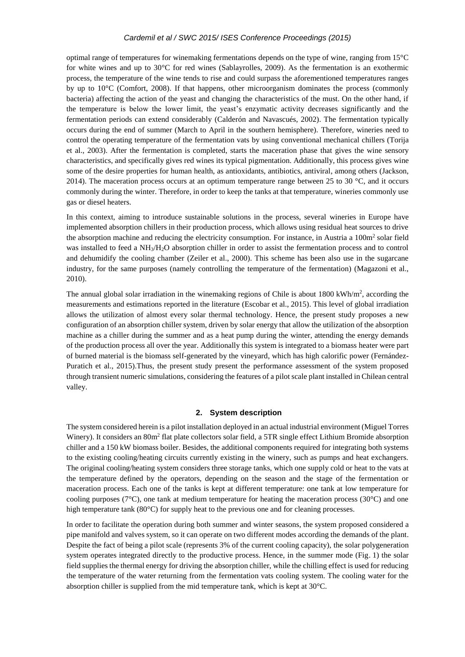optimal range of temperatures for winemaking fermentations depends on the type of wine, ranging from 15°C for white wines and up to 30°C for red wines (Sablayrolles, 2009). As the fermentation is an exothermic process, the temperature of the wine tends to rise and could surpass the aforementioned temperatures ranges by up to 10°C (Comfort, 2008). If that happens, other microorganism dominates the process (commonly bacteria) affecting the action of the yeast and changing the characteristics of the must. On the other hand, if the temperature is below the lower limit, the yeast's enzymatic activity decreases significantly and the fermentation periods can extend considerably (Calderón and Navascués, 2002). The fermentation typically occurs during the end of summer (March to April in the southern hemisphere). Therefore, wineries need to control the operating temperature of the fermentation vats by using conventional mechanical chillers (Torija et al., 2003). After the fermentation is completed, starts the maceration phase that gives the wine sensory characteristics, and specifically gives red wines its typical pigmentation. Additionally, this process gives wine some of the desire properties for human health, as antioxidants, antibiotics, antiviral, among others (Jackson, 2014). The maceration process occurs at an optimum temperature range between 25 to 30  $^{\circ}$ C, and it occurs commonly during the winter. Therefore, in order to keep the tanks at that temperature, wineries commonly use gas or diesel heaters.

In this context, aiming to introduce sustainable solutions in the process, several wineries in Europe have implemented absorption chillers in their production process, which allows using residual heat sources to drive the absorption machine and reducing the electricity consumption. For instance, in Austria a 100m<sup>2</sup> solar field was installed to feed a NH3/H2O absorption chiller in order to assist the fermentation process and to control and dehumidify the cooling chamber (Zeiler et al., 2000). This scheme has been also use in the sugarcane industry, for the same purposes (namely controlling the temperature of the fermentation) (Magazoni et al., 2010).

The annual global solar irradiation in the winemaking regions of Chile is about  $1800 \text{ kWh/m}^2$ , according the measurements and estimations reported in the literature (Escobar et al., 2015). This level of global irradiation allows the utilization of almost every solar thermal technology. Hence, the present study proposes a new configuration of an absorption chiller system, driven by solar energy that allow the utilization of the absorption machine as a chiller during the summer and as a heat pump during the winter, attending the energy demands of the production process all over the year. Additionally this system is integrated to a biomass heater were part of burned material is the biomass self-generated by the vineyard, which has high calorific power (Fernández-Puratich et al., 2015).Thus, the present study present the performance assessment of the system proposed through transient numeric simulations, considering the features of a pilot scale plant installed in Chilean central valley.

#### **2. System description**

The system considered herein is a pilot installation deployed in an actual industrial environment (Miguel Torres Winery). It considers an 80m<sup>2</sup> flat plate collectors solar field, a 5TR single effect Lithium Bromide absorption chiller and a 150 kW biomass boiler. Besides, the additional components required for integrating both systems to the existing cooling/heating circuits currently existing in the winery, such as pumps and heat exchangers. The original cooling/heating system considers three storage tanks, which one supply cold or heat to the vats at the temperature defined by the operators, depending on the season and the stage of the fermentation or maceration process. Each one of the tanks is kept at different temperature: one tank at low temperature for cooling purposes ( $7^{\circ}$ C), one tank at medium temperature for heating the maceration process ( $30^{\circ}$ C) and one high temperature tank (80°C) for supply heat to the previous one and for cleaning processes.

In order to facilitate the operation during both summer and winter seasons, the system proposed considered a pipe manifold and valves system, so it can operate on two different modes according the demands of the plant. Despite the fact of being a pilot scale (represents 3% of the current cooling capacity), the solar polygeneration system operates integrated directly to the productive process. Hence, in the summer mode (Fig. 1) the solar field supplies the thermal energy for driving the absorption chiller, while the chilling effect is used for reducing the temperature of the water returning from the fermentation vats cooling system. The cooling water for the absorption chiller is supplied from the mid temperature tank, which is kept at 30°C.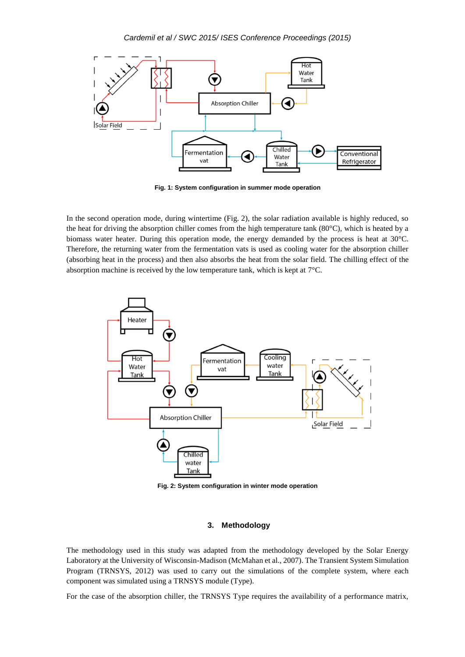

**Fig. 1: System configuration in summer mode operation**

In the second operation mode, during wintertime (Fig. 2), the solar radiation available is highly reduced, so the heat for driving the absorption chiller comes from the high temperature tank (80°C), which is heated by a biomass water heater. During this operation mode, the energy demanded by the process is heat at 30°C. Therefore, the returning water from the fermentation vats is used as cooling water for the absorption chiller (absorbing heat in the process) and then also absorbs the heat from the solar field. The chilling effect of the absorption machine is received by the low temperature tank, which is kept at 7°C.



**Fig. 2: System configuration in winter mode operation**

# **3. Methodology**

The methodology used in this study was adapted from the methodology developed by the Solar Energy Laboratory at the University of Wisconsin-Madison (McMahan et al., 2007). The Transient System Simulation Program (TRNSYS, 2012) was used to carry out the simulations of the complete system, where each component was simulated using a TRNSYS module (Type).

For the case of the absorption chiller, the TRNSYS Type requires the availability of a performance matrix,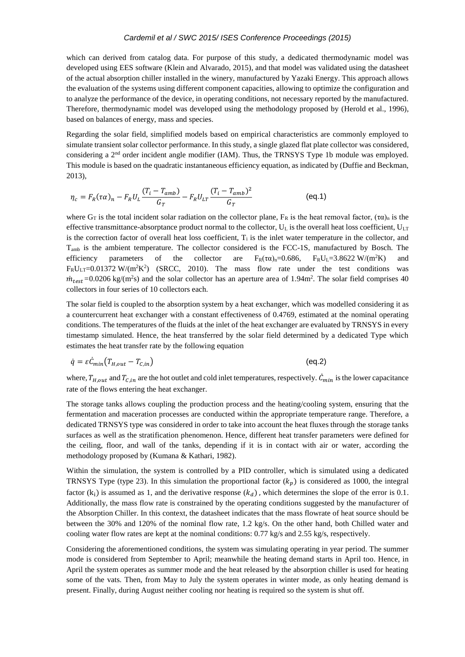which can derived from catalog data. For purpose of this study, a dedicated thermodynamic model was developed using EES software (Klein and Alvarado, 2015), and that model was validated using the datasheet of the actual absorption chiller installed in the winery, manufactured by Yazaki Energy. This approach allows the evaluation of the systems using different component capacities, allowing to optimize the configuration and to analyze the performance of the device, in operating conditions, not necessary reported by the manufactured. Therefore, thermodynamic model was developed using the methodology proposed by (Herold et al., 1996), based on balances of energy, mass and species.

Regarding the solar field, simplified models based on empirical characteristics are commonly employed to simulate transient solar collector performance. In this study, a single glazed flat plate collector was considered, considering a 2nd order incident angle modifier (IAM). Thus, the TRNSYS Type 1b module was employed. This module is based on the quadratic instantaneous efficiency equation, as indicated by (Duffie and Beckman, 2013),

$$
\eta_c = F_R(\tau \alpha)_n - F_R U_L \frac{(T_i - T_{amb})}{G_T} - F_R U_{LT} \frac{(T_i - T_{amb})^2}{G_T}
$$
 (eq.1)

where  $G_T$  is the total incident solar radiation on the collector plane,  $F_R$  is the heat removal factor,  $(\tau \alpha)_n$  is the effective transmittance-absorptance product normal to the collector,  $U_L$  is the overall heat loss coefficient,  $U_{LT}$ is the correction factor of overall heat loss coefficient,  $T_i$  is the inlet water temperature in the collector, and Tamb is the ambient temperature. The collector considered is the FCC-1S, manufactured by Bosch. The efficiency parameters of the collector are  $F_R(\tau\alpha)_{n}=0.686$ ,  $F_R U_L=3.8622$  W/(m<sup>2</sup>K) and  $F_R U_{LT} = 0.01372 W/(m^2 K^2)$  (SRCC, 2010). The mass flow rate under the test conditions was  $\dot{m}_{test}$ =0.0206 kg/(m<sup>2</sup>s) and the solar collector has an aperture area of 1.94m<sup>2</sup>. The solar field comprises 40 collectors in four series of 10 collectors each.

The solar field is coupled to the absorption system by a heat exchanger, which was modelled considering it as a countercurrent heat exchanger with a constant effectiveness of 0.4769, estimated at the nominal operating conditions. The temperatures of the fluids at the inlet of the heat exchanger are evaluated by TRNSYS in every timestamp simulated. Hence, the heat transferred by the solar field determined by a dedicated Type which estimates the heat transfer rate by the following equation

$$
\dot{q} = \varepsilon \dot{C}_{min} \big( T_{H,out} - T_{C,in} \big) \tag{eq.2}
$$

where,  $T_{H,out}$  and  $T_{C,in}$  are the hot outlet and cold inlet temperatures, respectively.  $\dot{C}_{min}$  is the lower capacitance rate of the flows entering the heat exchanger.

The storage tanks allows coupling the production process and the heating/cooling system, ensuring that the fermentation and maceration processes are conducted within the appropriate temperature range. Therefore, a dedicated TRNSYS type was considered in order to take into account the heat fluxes through the storage tanks surfaces as well as the stratification phenomenon. Hence, different heat transfer parameters were defined for the ceiling, floor, and wall of the tanks, depending if it is in contact with air or water, according the methodology proposed by (Kumana & Kathari, 1982).

Within the simulation, the system is controlled by a PID controller, which is simulated using a dedicated TRNSYS Type (type 23). In this simulation the proportional factor  $(k_p)$  is considered as 1000, the integral factor  $(k_i)$  is assumed as 1, and the derivative response  $(k_d)$ , which determines the slope of the error is 0.1. Additionally, the mass flow rate is constrained by the operating conditions suggested by the manufacturer of the Absorption Chiller. In this context, the datasheet indicates that the mass flowrate of heat source should be between the 30% and 120% of the nominal flow rate, 1.2 kg/s. On the other hand, both Chilled water and cooling water flow rates are kept at the nominal conditions:  $0.77 \text{ kg/s}$  and  $2.55 \text{ kg/s}$ , respectively.

Considering the aforementioned conditions, the system was simulating operating in year period. The summer mode is considered from September to April; meanwhile the heating demand starts in April too. Hence, in April the system operates as summer mode and the heat released by the absorption chiller is used for heating some of the vats. Then, from May to July the system operates in winter mode, as only heating demand is present. Finally, during August neither cooling nor heating is required so the system is shut off.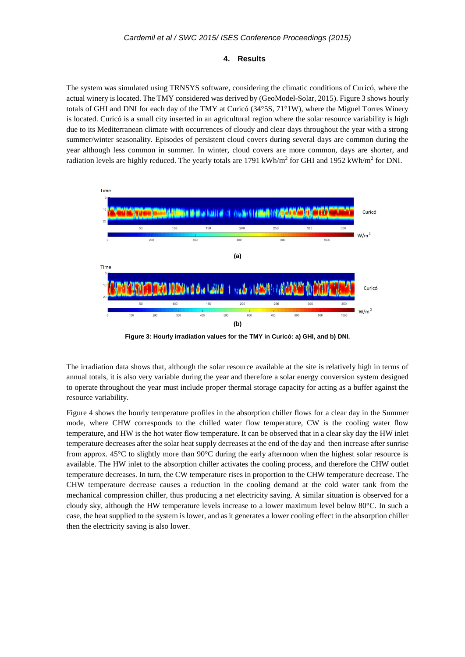#### **4. Results**

The system was simulated using TRNSYS software, considering the climatic conditions of Curicó, where the actual winery is located. The TMY considered was derived by (GeoModel-Solar, 2015). Figure 3 shows hourly totals of GHI and DNI for each day of the TMY at Curicó (34°5S, 71°1W), where the Miguel Torres Winery is located. Curicó is a small city inserted in an agricultural region where the solar resource variability is high due to its Mediterranean climate with occurrences of cloudy and clear days throughout the year with a strong summer/winter seasonality. Episodes of persistent cloud covers during several days are common during the year although less common in summer. In winter, cloud covers are more common, days are shorter, and radiation levels are highly reduced. The yearly totals are  $1791 \text{ kWh/m}^2$  for GHI and  $1952 \text{ kWh/m}^2$  for DNI.



**Figure 3: Hourly irradiation values for the TMY in Curicó: a) GHI, and b) DNI.**

The irradiation data shows that, although the solar resource available at the site is relatively high in terms of annual totals, it is also very variable during the year and therefore a solar energy conversion system designed to operate throughout the year must include proper thermal storage capacity for acting as a buffer against the resource variability.

Figure 4 shows the hourly temperature profiles in the absorption chiller flows for a clear day in the Summer mode, where CHW corresponds to the chilled water flow temperature, CW is the cooling water flow temperature, and HW is the hot water flow temperature. It can be observed that in a clear sky day the HW inlet temperature decreases after the solar heat supply decreases at the end of the day and then increase after sunrise from approx. 45°C to slightly more than 90°C during the early afternoon when the highest solar resource is available. The HW inlet to the absorption chiller activates the cooling process, and therefore the CHW outlet temperature decreases. In turn, the CW temperature rises in proportion to the CHW temperature decrease. The CHW temperature decrease causes a reduction in the cooling demand at the cold water tank from the mechanical compression chiller, thus producing a net electricity saving. A similar situation is observed for a cloudy sky, although the HW temperature levels increase to a lower maximum level below 80°C. In such a case, the heat supplied to the system is lower, and as it generates a lower cooling effect in the absorption chiller then the electricity saving is also lower.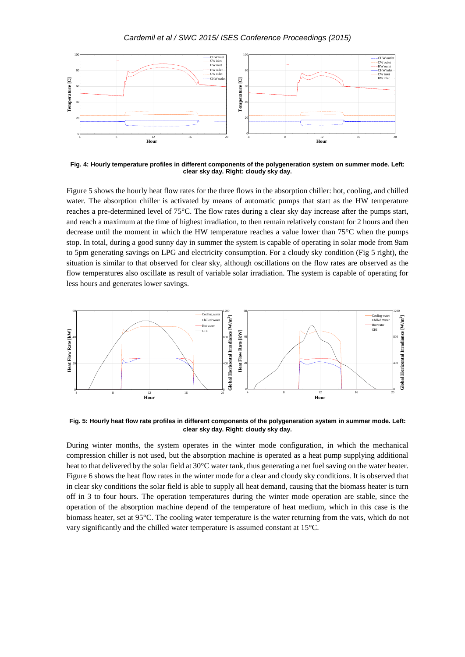

**Fig. 4: Hourly temperature profiles in different components of the polygeneration system on summer mode. Left: clear sky day. Right: cloudy sky day.**

Figure 5 shows the hourly heat flow rates for the three flows in the absorption chiller: hot, cooling, and chilled water. The absorption chiller is activated by means of automatic pumps that start as the HW temperature reaches a pre-determined level of 75°C. The flow rates during a clear sky day increase after the pumps start, and reach a maximum at the time of highest irradiation, to then remain relatively constant for 2 hours and then decrease until the moment in which the HW temperature reaches a value lower than 75°C when the pumps stop. In total, during a good sunny day in summer the system is capable of operating in solar mode from 9am to 5pm generating savings on LPG and electricity consumption. For a cloudy sky condition (Fig 5 right), the situation is similar to that observed for clear sky, although oscillations on the flow rates are observed as the flow temperatures also oscillate as result of variable solar irradiation. The system is capable of operating for less hours and generates lower savings.



**Fig. 5: Hourly heat flow rate profiles in different components of the polygeneration system in summer mode. Left: clear sky day. Right: cloudy sky day.**

During winter months, the system operates in the winter mode configuration, in which the mechanical compression chiller is not used, but the absorption machine is operated as a heat pump supplying additional heat to that delivered by the solar field at 30°C water tank, thus generating a net fuel saving on the water heater. Figure 6 shows the heat flow rates in the winter mode for a clear and cloudy sky conditions. It is observed that in clear sky conditions the solar field is able to supply all heat demand, causing that the biomass heater is turn off in 3 to four hours. The operation temperatures during the winter mode operation are stable, since the operation of the absorption machine depend of the temperature of heat medium, which in this case is the biomass heater, set at 95°C. The cooling water temperature is the water returning from the vats, which do not vary significantly and the chilled water temperature is assumed constant at 15°C.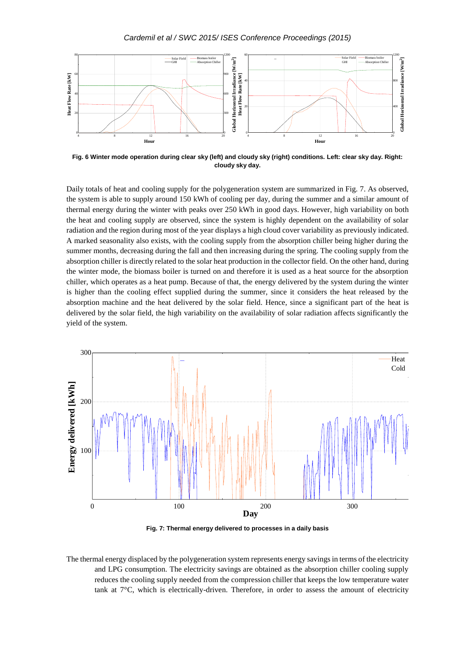

**Fig. 6 Winter mode operation during clear sky (left) and cloudy sky (right) conditions. Left: clear sky day. Right: cloudy sky day.**

Daily totals of heat and cooling supply for the polygeneration system are summarized in Fig. 7. As observed, the system is able to supply around 150 kWh of cooling per day, during the summer and a similar amount of thermal energy during the winter with peaks over 250 kWh in good days. However, high variability on both the heat and cooling supply are observed, since the system is highly dependent on the availability of solar radiation and the region during most of the year displays a high cloud cover variability as previously indicated. A marked seasonality also exists, with the cooling supply from the absorption chiller being higher during the summer months, decreasing during the fall and then increasing during the spring. The cooling supply from the absorption chiller is directly related to the solar heat production in the collector field. On the other hand, during the winter mode, the biomass boiler is turned on and therefore it is used as a heat source for the absorption chiller, which operates as a heat pump. Because of that, the energy delivered by the system during the winter is higher than the cooling effect supplied during the summer, since it considers the heat released by the absorption machine and the heat delivered by the solar field. Hence, since a significant part of the heat is delivered by the solar field, the high variability on the availability of solar radiation affects significantly the yield of the system.



**Fig. 7: Thermal energy delivered to processes in a daily basis**

The thermal energy displaced by the polygeneration system represents energy savings in terms of the electricity and LPG consumption. The electricity savings are obtained as the absorption chiller cooling supply reduces the cooling supply needed from the compression chiller that keeps the low temperature water tank at 7°C, which is electrically-driven. Therefore, in order to assess the amount of electricity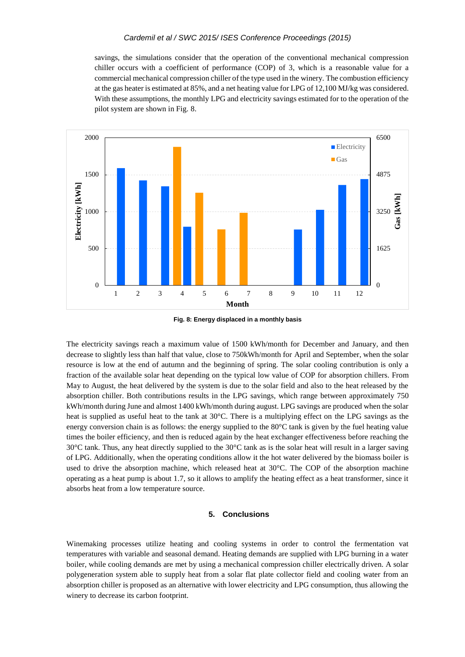savings, the simulations consider that the operation of the conventional mechanical compression chiller occurs with a coefficient of performance (COP) of 3, which is a reasonable value for a commercial mechanical compression chiller of the type used in the winery. The combustion efficiency at the gas heater is estimated at 85%, and a net heating value for LPG of 12,100 MJ/kg was considered. With these assumptions, the monthly LPG and electricity savings estimated for to the operation of the pilot system are shown in Fig. 8.



**Fig. 8: Energy displaced in a monthly basis**

The electricity savings reach a maximum value of 1500 kWh/month for December and January, and then decrease to slightly less than half that value, close to 750kWh/month for April and September, when the solar resource is low at the end of autumn and the beginning of spring. The solar cooling contribution is only a fraction of the available solar heat depending on the typical low value of COP for absorption chillers. From May to August, the heat delivered by the system is due to the solar field and also to the heat released by the absorption chiller. Both contributions results in the LPG savings, which range between approximately 750 kWh/month during June and almost 1400 kWh/month during august. LPG savings are produced when the solar heat is supplied as useful heat to the tank at 30°C. There is a multiplying effect on the LPG savings as the energy conversion chain is as follows: the energy supplied to the 80°C tank is given by the fuel heating value times the boiler efficiency, and then is reduced again by the heat exchanger effectiveness before reaching the 30°C tank. Thus, any heat directly supplied to the 30°C tank as is the solar heat will result in a larger saving of LPG. Additionally, when the operating conditions allow it the hot water delivered by the biomass boiler is used to drive the absorption machine, which released heat at  $30^{\circ}$ C. The COP of the absorption machine operating as a heat pump is about 1.7, so it allows to amplify the heating effect as a heat transformer, since it absorbs heat from a low temperature source.

# **5. Conclusions**

Winemaking processes utilize heating and cooling systems in order to control the fermentation vat temperatures with variable and seasonal demand. Heating demands are supplied with LPG burning in a water boiler, while cooling demands are met by using a mechanical compression chiller electrically driven. A solar polygeneration system able to supply heat from a solar flat plate collector field and cooling water from an absorption chiller is proposed as an alternative with lower electricity and LPG consumption, thus allowing the winery to decrease its carbon footprint.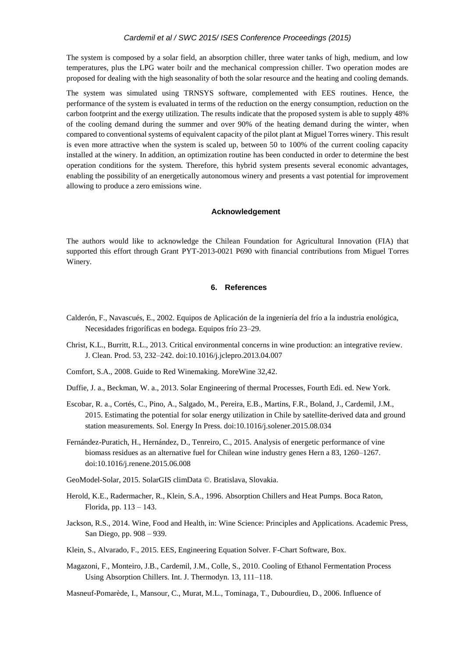The system is composed by a solar field, an absorption chiller, three water tanks of high, medium, and low temperatures, plus the LPG water boilr and the mechanical compression chiller. Two operation modes are proposed for dealing with the high seasonality of both the solar resource and the heating and cooling demands.

The system was simulated using TRNSYS software, complemented with EES routines. Hence, the performance of the system is evaluated in terms of the reduction on the energy consumption, reduction on the carbon footprint and the exergy utilization. The results indicate that the proposed system is able to supply 48% of the cooling demand during the summer and over 90% of the heating demand during the winter, when compared to conventional systems of equivalent capacity of the pilot plant at Miguel Torres winery. This result is even more attractive when the system is scaled up, between 50 to 100% of the current cooling capacity installed at the winery. In addition, an optimization routine has been conducted in order to determine the best operation conditions for the system. Therefore, this hybrid system presents several economic advantages, enabling the possibility of an energetically autonomous winery and presents a vast potential for improvement allowing to produce a zero emissions wine.

#### **Acknowledgement**

The authors would like to acknowledge the Chilean Foundation for Agricultural Innovation (FIA) that supported this effort through Grant PYT-2013-0021 P690 with financial contributions from Miguel Torres Winery.

# **6. References**

- Calderón, F., Navascués, E., 2002. Equipos de Aplicación de la ingeniería del frío a la industria enológica, Necesidades frigoríficas en bodega. Equipos frío 23–29.
- Christ, K.L., Burritt, R.L., 2013. Critical environmental concerns in wine production: an integrative review. J. Clean. Prod. 53, 232–242. doi:10.1016/j.jclepro.2013.04.007
- Comfort, S.A., 2008. Guide to Red Winemaking. MoreWine 32,42.
- Duffie, J. a., Beckman, W. a., 2013. Solar Engineering of thermal Processes, Fourth Edi. ed. New York.
- Escobar, R. a., Cortés, C., Pino, A., Salgado, M., Pereira, E.B., Martins, F.R., Boland, J., Cardemil, J.M., 2015. Estimating the potential for solar energy utilization in Chile by satellite-derived data and ground station measurements. Sol. Energy In Press. doi:10.1016/j.solener.2015.08.034
- Fernández-Puratich, H., Hernández, D., Tenreiro, C., 2015. Analysis of energetic performance of vine biomass residues as an alternative fuel for Chilean wine industry genes Hern a 83, 1260–1267. doi:10.1016/j.renene.2015.06.008
- GeoModel-Solar, 2015. SolarGIS climData ©. Bratislava, Slovakia.
- Herold, K.E., Radermacher, R., Klein, S.A., 1996. Absorption Chillers and Heat Pumps. Boca Raton, Florida, pp. 113 – 143.
- Jackson, R.S., 2014. Wine, Food and Health, in: Wine Science: Principles and Applications. Academic Press, San Diego, pp. 908 – 939.
- Klein, S., Alvarado, F., 2015. EES, Engineering Equation Solver. F-Chart Software, Box.
- Magazoni, F., Monteiro, J.B., Cardemil, J.M., Colle, S., 2010. Cooling of Ethanol Fermentation Process Using Absorption Chillers. Int. J. Thermodyn. 13, 111–118.
- Masneuf-Pomarède, I., Mansour, C., Murat, M.L., Tominaga, T., Dubourdieu, D., 2006. Influence of